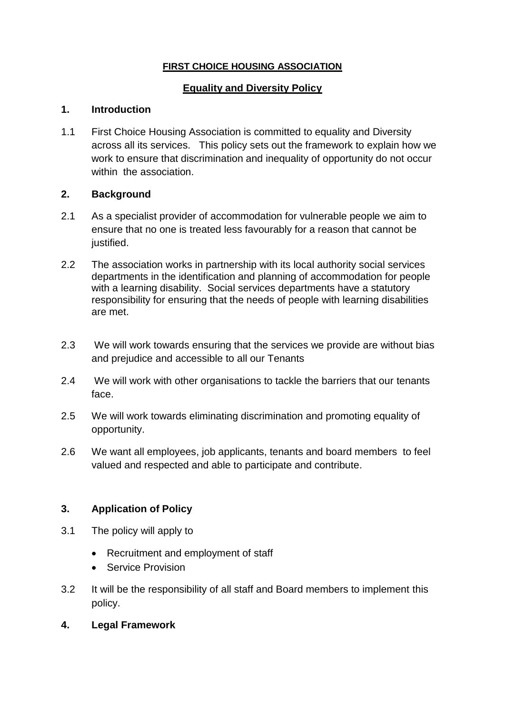# **FIRST CHOICE HOUSING ASSOCIATION**

# **Equality and Diversity Policy**

## **1. Introduction**

1.1 First Choice Housing Association is committed to equality and Diversity across all its services. This policy sets out the framework to explain how we work to ensure that discrimination and inequality of opportunity do not occur within the association.

## **2. Background**

- 2.1 As a specialist provider of accommodation for vulnerable people we aim to ensure that no one is treated less favourably for a reason that cannot be justified.
- 2.2 The association works in partnership with its local authority social services departments in the identification and planning of accommodation for people with a learning disability. Social services departments have a statutory responsibility for ensuring that the needs of people with learning disabilities are met.
- 2.3 We will work towards ensuring that the services we provide are without bias and prejudice and accessible to all our Tenants
- 2.4 We will work with other organisations to tackle the barriers that our tenants face.
- 2.5 We will work towards eliminating discrimination and promoting equality of opportunity.
- 2.6 We want all employees, job applicants, tenants and board members to feel valued and respected and able to participate and contribute.

#### **3. Application of Policy**

- 3.1 The policy will apply to
	- Recruitment and employment of staff
	- Service Provision
- 3.2 It will be the responsibility of all staff and Board members to implement this policy.
- **4. Legal Framework**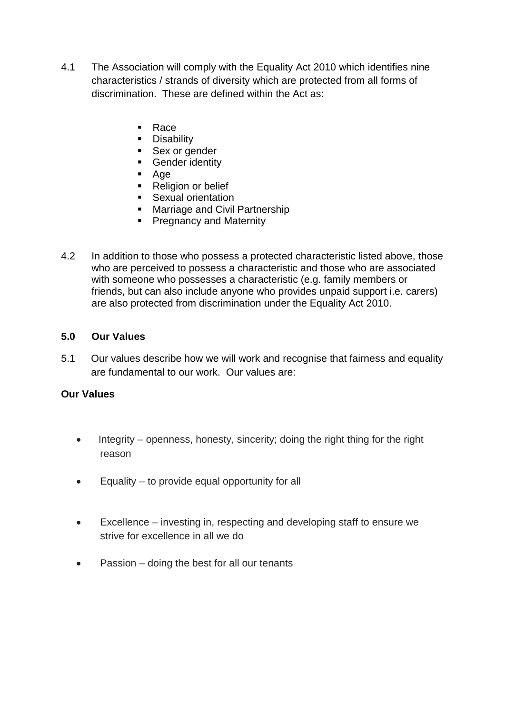- 4.1 The Association will comply with the Equality Act 2010 which identifies nine characteristics / strands of diversity which are protected from all forms of discrimination. These are defined within the Act as:
	- Race
	- **Disability**
	- Sex or gender
	- **Gender identity**
	- Age
	- Religion or belief
	- **Sexual orientation**
	- **Marriage and Civil Partnership**
	- **Pregnancy and Maternity**
- 4.2 In addition to those who possess a protected characteristic listed above, those who are perceived to possess a characteristic and those who are associated with someone who possesses a characteristic (e.g. family members or friends, but can also include anyone who provides unpaid support i.e. carers) are also protected from discrimination under the Equality Act 2010.

#### **5.0 Our Values**

5.1 Our values describe how we will work and recognise that fairness and equality are fundamental to our work. Our values are:

#### **Our Values**

- Integrity openness, honesty, sincerity; doing the right thing for the right reason
- **Equality to provide equal opportunity for all**
- Excellence investing in, respecting and developing staff to ensure we strive for excellence in all we do
- Passion doing the best for all our tenants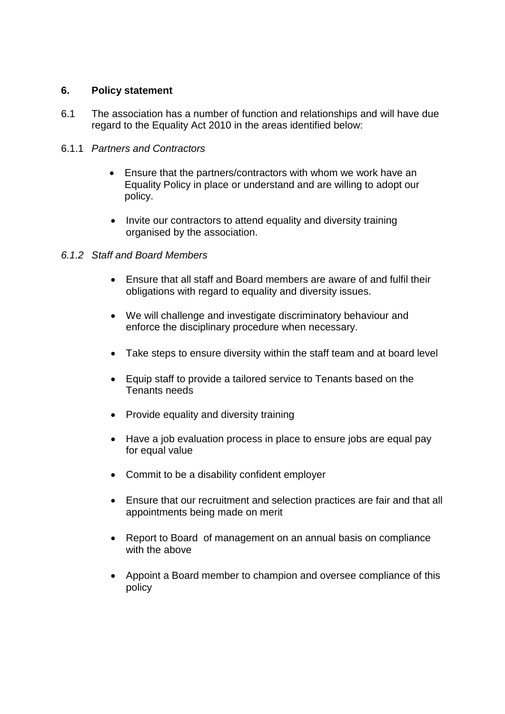### **6. Policy statement**

6.1 The association has a number of function and relationships and will have due regard to the Equality Act 2010 in the areas identified below:

### 6.1.1 *Partners and Contractors*

- Ensure that the partners/contractors with whom we work have an Equality Policy in place or understand and are willing to adopt our policy.
- Invite our contractors to attend equality and diversity training organised by the association.

## *6.1.2 Staff and Board Members*

- Ensure that all staff and Board members are aware of and fulfil their obligations with regard to equality and diversity issues.
- We will challenge and investigate discriminatory behaviour and enforce the disciplinary procedure when necessary.
- Take steps to ensure diversity within the staff team and at board level
- Equip staff to provide a tailored service to Tenants based on the Tenants needs
- Provide equality and diversity training
- Have a job evaluation process in place to ensure jobs are equal pay for equal value
- Commit to be a disability confident employer
- Ensure that our recruitment and selection practices are fair and that all appointments being made on merit
- Report to Board of management on an annual basis on compliance with the above
- Appoint a Board member to champion and oversee compliance of this policy